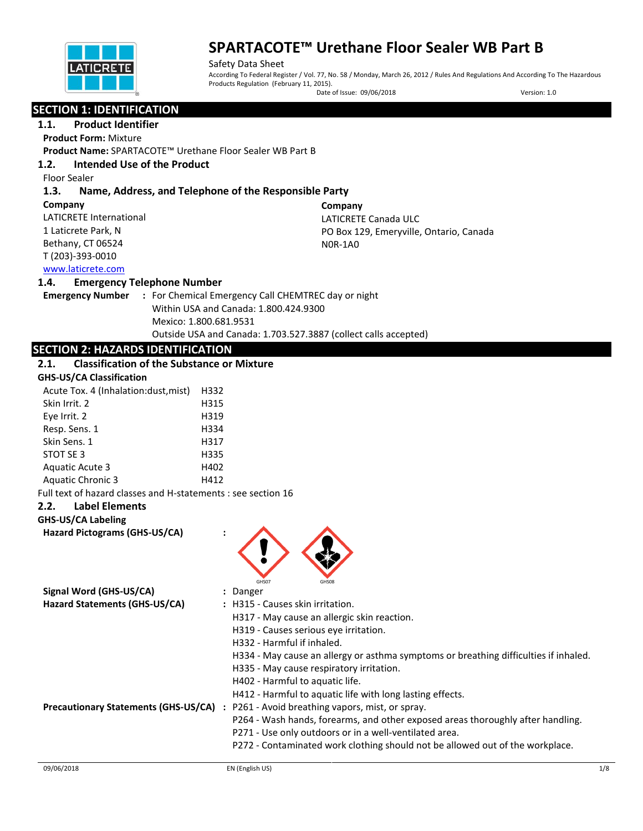

Safety Data Sheet According To Federal Register / Vol. 77, No. 58 / Monday, March 26, 2012 / Rules And Regulations And According To The Hazardous Products Regulation (February 11, 2015).

Date of Issue: 09/06/2018 Version: 1.0

# **SECTION 1: IDENTIFICATION**

## **1.1. Product Identifier**

**Product Form:** Mixture

**Product Name:** SPARTACOTE™ Urethane Floor Sealer WB Part B

## **1.2. Intended Use of the Product**

Floor Sealer

## **1.3. Name, Address, and Telephone of the Responsible Party**

**Company**  LATICRETE International 1 Laticrete Park, N Bethany, CT 06524 T (203)-393-0010 **Company** LATICRETE Canada ULC PO Box 129, Emeryville, Ontario, Canada N0R-1A0

## [www.laticrete.com](http://www.laticrete.com/)

## **1.4. Emergency Telephone Number**

**Emergency Number :** For Chemical Emergency Call CHEMTREC day or night Within USA and Canada: 1.800.424.9300 Mexico: 1.800.681.9531 Outside USA and Canada: 1.703.527.3887 (collect calls accepted)

# **SECTION 2: HAZARDS IDENTIFICATION**

## **2.1. Classification of the Substance or Mixture**

| <b>GHS-US/CA Classification</b> |  |  |  |
|---------------------------------|--|--|--|
|                                 |  |  |  |

| Acute Tox. 4 (Inhalation: dust, mist) | H332 |
|---------------------------------------|------|
| Skin Irrit. 2                         | H315 |
| Eye Irrit. 2                          | H319 |
| Resp. Sens. 1                         | H334 |
| Skin Sens. 1                          | H317 |
| STOT SE 3                             | H335 |
| <b>Aguatic Acute 3</b>                | H402 |
| <b>Aquatic Chronic 3</b>              | H412 |

Full text of hazard classes and H-statements : see section 16

### **2.2. Label Elements**

### **GHS-US/CA Labeling**

**Hazard Pictograms (GHS-US/CA) :**



| Signal Word (GHS-US/CA)                     | : Danger                                                                             |
|---------------------------------------------|--------------------------------------------------------------------------------------|
| Hazard Statements (GHS-US/CA)               | : H315 - Causes skin irritation.                                                     |
|                                             | H317 - May cause an allergic skin reaction.                                          |
|                                             | H319 - Causes serious eye irritation.                                                |
|                                             | H332 - Harmful if inhaled.                                                           |
|                                             | H334 - May cause an allergy or asthma symptoms or breathing difficulties if inhaled. |
|                                             | H335 - May cause respiratory irritation.                                             |
|                                             | H402 - Harmful to aquatic life.                                                      |
|                                             | H412 - Harmful to aquatic life with long lasting effects.                            |
| <b>Precautionary Statements (GHS-US/CA)</b> | P261 - Avoid breathing vapors, mist, or spray.                                       |
|                                             | P264 - Wash hands, forearms, and other exposed areas thoroughly after handling.      |
|                                             | P271 - Use only outdoors or in a well-ventilated area.                               |
|                                             | P272 - Contaminated work clothing should not be allowed out of the workplace.        |
|                                             |                                                                                      |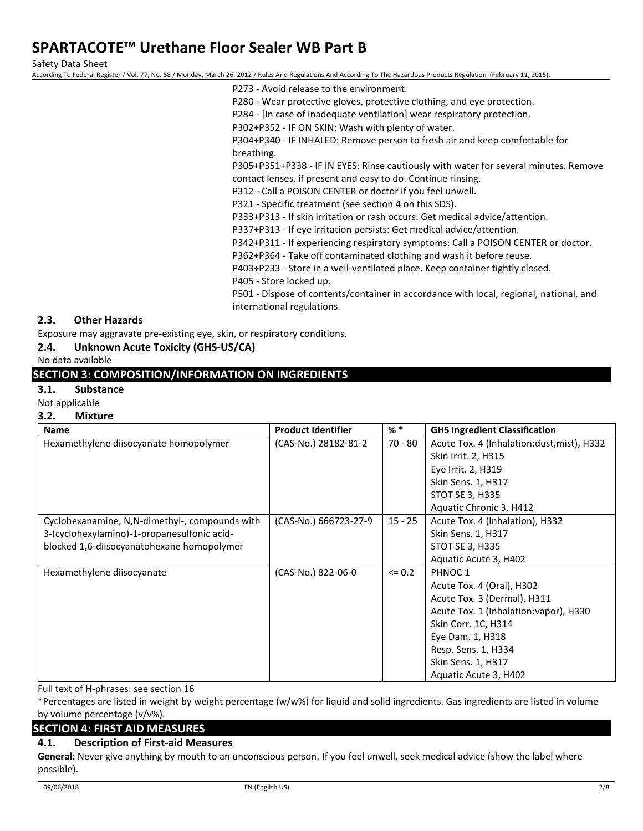Safety Data Sheet

According To Federal Register / Vol. 77, No. 58 / Monday, March 26, 2012 / Rules And Regulations And According To The Hazardous Products Regulation (February 11, 2015).

- P273 Avoid release to the environment.
- P280 Wear protective gloves, protective clothing, and eye protection.
- P284 [In case of inadequate ventilation] wear respiratory protection.
- P302+P352 IF ON SKIN: Wash with plenty of water.

P304+P340 - IF INHALED: Remove person to fresh air and keep comfortable for breathing.

P305+P351+P338 - IF IN EYES: Rinse cautiously with water for several minutes. Remove contact lenses, if present and easy to do. Continue rinsing.

P312 - Call a POISON CENTER or doctor if you feel unwell.

P321 - Specific treatment (see section 4 on this SDS).

P333+P313 - If skin irritation or rash occurs: Get medical advice/attention.

P337+P313 - If eye irritation persists: Get medical advice/attention.

P342+P311 - If experiencing respiratory symptoms: Call a POISON CENTER or doctor.

P362+P364 - Take off contaminated clothing and wash it before reuse.

P403+P233 - Store in a well-ventilated place. Keep container tightly closed.

P405 - Store locked up.

P501 - Dispose of contents/container in accordance with local, regional, national, and international regulations.

### **2.3. Other Hazards**

Exposure may aggravate pre-existing eye, skin, or respiratory conditions.

### **2.4. Unknown Acute Toxicity (GHS-US/CA)**

### No data available

## **SECTION 3: COMPOSITION/INFORMATION ON INGREDIENTS**

## **3.1. Substance**

Not applicable

#### **3.2. Mixture**

| <b>Name</b>                                    | <b>Product Identifier</b> | $%$ $*$   | <b>GHS Ingredient Classification</b>        |
|------------------------------------------------|---------------------------|-----------|---------------------------------------------|
| Hexamethylene diisocyanate homopolymer         | (CAS-No.) 28182-81-2      | $70 - 80$ | Acute Tox. 4 (Inhalation: dust, mist), H332 |
|                                                |                           |           | Skin Irrit. 2, H315                         |
|                                                |                           |           | Eye Irrit. 2, H319                          |
|                                                |                           |           | Skin Sens. 1, H317                          |
|                                                |                           |           | STOT SE 3, H335                             |
|                                                |                           |           | Aquatic Chronic 3, H412                     |
| Cyclohexanamine, N,N-dimethyl-, compounds with | (CAS-No.) 666723-27-9     | $15 - 25$ | Acute Tox. 4 (Inhalation), H332             |
| 3-(cyclohexylamino)-1-propanesulfonic acid-    |                           |           | Skin Sens. 1, H317                          |
| blocked 1,6-diisocyanatohexane homopolymer     |                           |           | <b>STOT SE 3, H335</b>                      |
|                                                |                           |           | Aquatic Acute 3, H402                       |
| Hexamethylene diisocyanate                     | (CAS-No.) 822-06-0        | $= 0.2$   | PHNOC <sub>1</sub>                          |
|                                                |                           |           | Acute Tox. 4 (Oral), H302                   |
|                                                |                           |           | Acute Tox. 3 (Dermal), H311                 |
|                                                |                           |           | Acute Tox. 1 (Inhalation: vapor), H330      |
|                                                |                           |           | Skin Corr. 1C, H314                         |
|                                                |                           |           | Eye Dam. 1, H318                            |
|                                                |                           |           | Resp. Sens. 1, H334                         |
|                                                |                           |           | Skin Sens. 1, H317                          |
|                                                |                           |           | Aquatic Acute 3, H402                       |

Full text of H-phrases: see section 16

\*Percentages are listed in weight by weight percentage (w/w%) for liquid and solid ingredients. Gas ingredients are listed in volume by volume percentage (v/v%).

### **SECTION 4: FIRST AID MEASURES**

## **4.1. Description of First-aid Measures**

**General:** Never give anything by mouth to an unconscious person. If you feel unwell, seek medical advice (show the label where possible).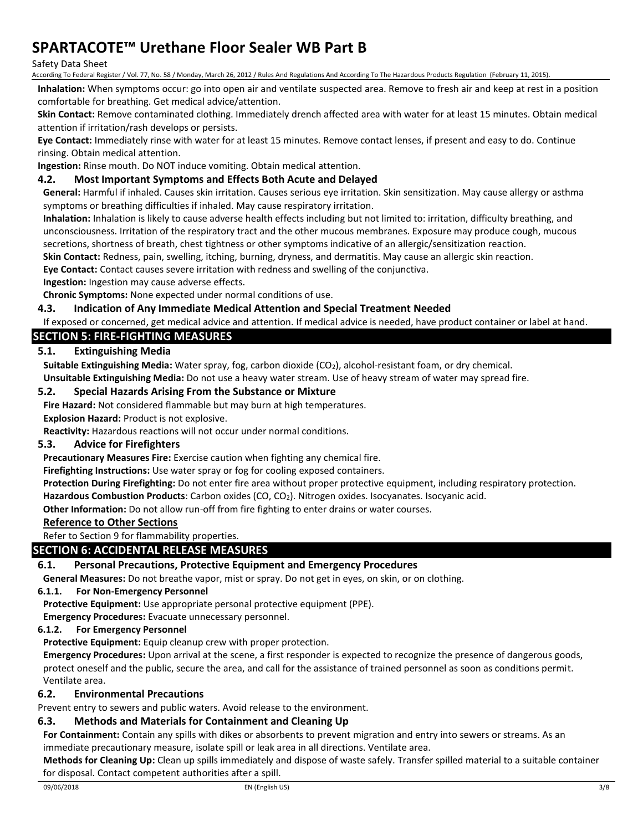### Safety Data Sheet

According To Federal Register / Vol. 77, No. 58 / Monday, March 26, 2012 / Rules And Regulations And According To The Hazardous Products Regulation (February 11, 2015).

**Inhalation:** When symptoms occur: go into open air and ventilate suspected area. Remove to fresh air and keep at rest in a position comfortable for breathing. Get medical advice/attention.

**Skin Contact:** Remove contaminated clothing. Immediately drench affected area with water for at least 15 minutes. Obtain medical attention if irritation/rash develops or persists.

**Eye Contact:** Immediately rinse with water for at least 15 minutes. Remove contact lenses, if present and easy to do. Continue rinsing. Obtain medical attention.

**Ingestion:** Rinse mouth. Do NOT induce vomiting. Obtain medical attention.

## **4.2. Most Important Symptoms and Effects Both Acute and Delayed**

**General:** Harmful if inhaled. Causes skin irritation. Causes serious eye irritation. Skin sensitization. May cause allergy or asthma symptoms or breathing difficulties if inhaled. May cause respiratory irritation.

**Inhalation:** Inhalation is likely to cause adverse health effects including but not limited to: irritation, difficulty breathing, and unconsciousness. Irritation of the respiratory tract and the other mucous membranes. Exposure may produce cough, mucous secretions, shortness of breath, chest tightness or other symptoms indicative of an allergic/sensitization reaction.

**Skin Contact:** Redness, pain, swelling, itching, burning, dryness, and dermatitis. May cause an allergic skin reaction.

**Eye Contact:** Contact causes severe irritation with redness and swelling of the conjunctiva.

**Ingestion:** Ingestion may cause adverse effects.

**Chronic Symptoms:** None expected under normal conditions of use.

### **4.3. Indication of Any Immediate Medical Attention and Special Treatment Needed**

If exposed or concerned, get medical advice and attention. If medical advice is needed, have product container or label at hand.

## **SECTION 5: FIRE-FIGHTING MEASURES**

### **5.1. Extinguishing Media**

**Suitable Extinguishing Media:** Water spray, fog, carbon dioxide (CO<sub>2</sub>), alcohol-resistant foam, or dry chemical.

**Unsuitable Extinguishing Media:** Do not use a heavy water stream. Use of heavy stream of water may spread fire.

### **5.2. Special Hazards Arising From the Substance or Mixture**

**Fire Hazard:** Not considered flammable but may burn at high temperatures.

**Explosion Hazard:** Product is not explosive.

**Reactivity:** Hazardous reactions will not occur under normal conditions.

## **5.3. Advice for Firefighters**

**Precautionary Measures Fire:** Exercise caution when fighting any chemical fire.

**Firefighting Instructions:** Use water spray or fog for cooling exposed containers.

**Protection During Firefighting:** Do not enter fire area without proper protective equipment, including respiratory protection. **Hazardous Combustion Products**: Carbon oxides (CO, CO2). Nitrogen oxides. Isocyanates. Isocyanic acid.

**Other Information:** Do not allow run-off from fire fighting to enter drains or water courses.

## **Reference to Other Sections**

Refer to Section 9 for flammability properties.

### **SECTION 6: ACCIDENTAL RELEASE MEASURES**

### **6.1. Personal Precautions, Protective Equipment and Emergency Procedures**

**General Measures:** Do not breathe vapor, mist or spray. Do not get in eyes, on skin, or on clothing.

### **6.1.1. For Non-Emergency Personnel**

**Protective Equipment:** Use appropriate personal protective equipment (PPE).

**Emergency Procedures:** Evacuate unnecessary personnel.

### **6.1.2. For Emergency Personnel**

**Protective Equipment:** Equip cleanup crew with proper protection.

**Emergency Procedures:** Upon arrival at the scene, a first responder is expected to recognize the presence of dangerous goods, protect oneself and the public, secure the area, and call for the assistance of trained personnel as soon as conditions permit. Ventilate area.

### **6.2. Environmental Precautions**

Prevent entry to sewers and public waters. Avoid release to the environment.

## **6.3. Methods and Materials for Containment and Cleaning Up**

**For Containment:** Contain any spills with dikes or absorbents to prevent migration and entry into sewers or streams. As an immediate precautionary measure, isolate spill or leak area in all directions. Ventilate area.

**Methods for Cleaning Up:** Clean up spills immediately and dispose of waste safely. Transfer spilled material to a suitable container for disposal. Contact competent authorities after a spill.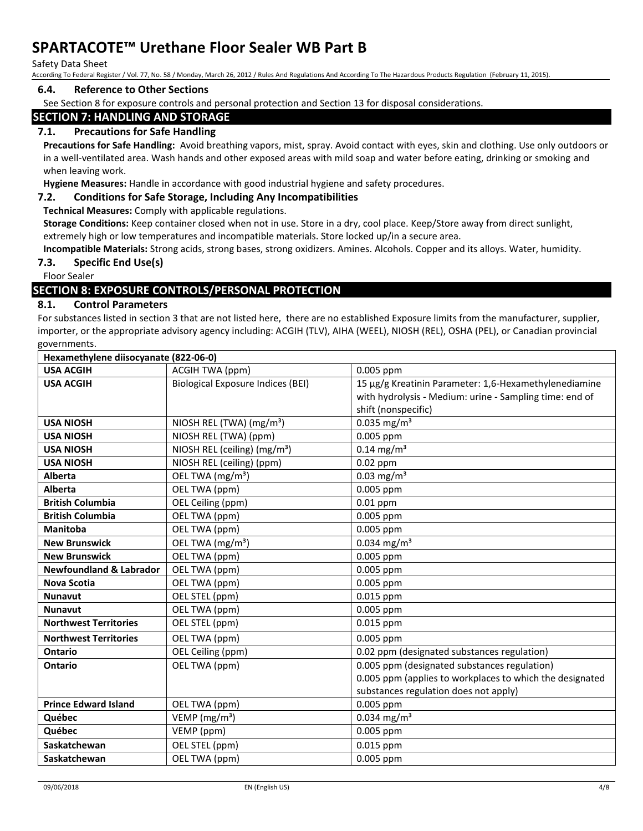#### Safety Data Sheet

According To Federal Register / Vol. 77, No. 58 / Monday, March 26, 2012 / Rules And Regulations And According To The Hazardous Products Regulation (February 11, 2015).

### **6.4. Reference to Other Sections**

See Section 8 for exposure controls and personal protection and Section 13 for disposal considerations.

# **SECTION 7: HANDLING AND STORAGE**

## **7.1. Precautions for Safe Handling**

**Precautions for Safe Handling:** Avoid breathing vapors, mist, spray. Avoid contact with eyes, skin and clothing. Use only outdoors or in a well-ventilated area. Wash hands and other exposed areas with mild soap and water before eating, drinking or smoking and when leaving work.

**Hygiene Measures:** Handle in accordance with good industrial hygiene and safety procedures.

### **7.2. Conditions for Safe Storage, Including Any Incompatibilities**

**Technical Measures:** Comply with applicable regulations.

**Storage Conditions:** Keep container closed when not in use. Store in a dry, cool place. Keep/Store away from direct sunlight, extremely high or low temperatures and incompatible materials. Store locked up/in a secure area.

**Incompatible Materials:** Strong acids, strong bases, strong oxidizers. Amines. Alcohols. Copper and its alloys. Water, humidity.

### **7.3. Specific End Use(s)**

Floor Sealer

## **SECTION 8: EXPOSURE CONTROLS/PERSONAL PROTECTION**

### **8.1. Control Parameters**

For substances listed in section 3 that are not listed here, there are no established Exposure limits from the manufacturer, supplier, importer, or the appropriate advisory agency including: ACGIH (TLV), AIHA (WEEL), NIOSH (REL), OSHA (PEL), or Canadian provincial governments.

| Hexamethylene diisocyanate (822-06-0) |                                          |                                                          |
|---------------------------------------|------------------------------------------|----------------------------------------------------------|
| <b>USA ACGIH</b>                      | ACGIH TWA (ppm)                          | 0.005 ppm                                                |
| <b>USA ACGIH</b>                      | <b>Biological Exposure Indices (BEI)</b> | 15 µg/g Kreatinin Parameter: 1,6-Hexamethylenediamine    |
|                                       |                                          | with hydrolysis - Medium: urine - Sampling time: end of  |
|                                       |                                          | shift (nonspecific)                                      |
| <b>USA NIOSH</b>                      | NIOSH REL (TWA) (mg/m <sup>3</sup> )     | $0.035$ mg/m <sup>3</sup>                                |
| <b>USA NIOSH</b>                      | NIOSH REL (TWA) (ppm)                    | 0.005 ppm                                                |
| <b>USA NIOSH</b>                      | NIOSH REL (ceiling) (mg/m <sup>3</sup> ) | $0.14 \text{ mg/m}^3$                                    |
| <b>USA NIOSH</b>                      | NIOSH REL (ceiling) (ppm)                | $0.02$ ppm                                               |
| <b>Alberta</b>                        | OEL TWA (mg/m <sup>3</sup> )             | $0.03$ mg/m <sup>3</sup>                                 |
| <b>Alberta</b>                        | OEL TWA (ppm)                            | 0.005 ppm                                                |
| <b>British Columbia</b>               | OEL Ceiling (ppm)                        | $0.01$ ppm                                               |
| <b>British Columbia</b>               | OEL TWA (ppm)                            | 0.005 ppm                                                |
| <b>Manitoba</b>                       | OEL TWA (ppm)                            | 0.005 ppm                                                |
| <b>New Brunswick</b>                  | OEL TWA (mg/m <sup>3</sup> )             | $0.034$ mg/m <sup>3</sup>                                |
| <b>New Brunswick</b>                  | OEL TWA (ppm)                            | 0.005 ppm                                                |
| <b>Newfoundland &amp; Labrador</b>    | OEL TWA (ppm)                            | 0.005 ppm                                                |
| <b>Nova Scotia</b>                    | OEL TWA (ppm)                            | 0.005 ppm                                                |
| <b>Nunavut</b>                        | OEL STEL (ppm)                           | 0.015 ppm                                                |
| <b>Nunavut</b>                        | OEL TWA (ppm)                            | 0.005 ppm                                                |
| <b>Northwest Territories</b>          | OEL STEL (ppm)                           | 0.015 ppm                                                |
| <b>Northwest Territories</b>          | OEL TWA (ppm)                            | 0.005 ppm                                                |
| <b>Ontario</b>                        | OEL Ceiling (ppm)                        | 0.02 ppm (designated substances regulation)              |
| Ontario                               | OEL TWA (ppm)                            | 0.005 ppm (designated substances regulation)             |
|                                       |                                          | 0.005 ppm (applies to workplaces to which the designated |
|                                       |                                          | substances regulation does not apply)                    |
| <b>Prince Edward Island</b>           | OEL TWA (ppm)                            | 0.005 ppm                                                |
| Québec                                | VEMP ( $mg/m3$ )                         | $0.034$ mg/m <sup>3</sup>                                |
| Québec                                | VEMP (ppm)                               | 0.005 ppm                                                |
| Saskatchewan                          | OEL STEL (ppm)                           | 0.015 ppm                                                |
| Saskatchewan                          | OEL TWA (ppm)                            | 0.005 ppm                                                |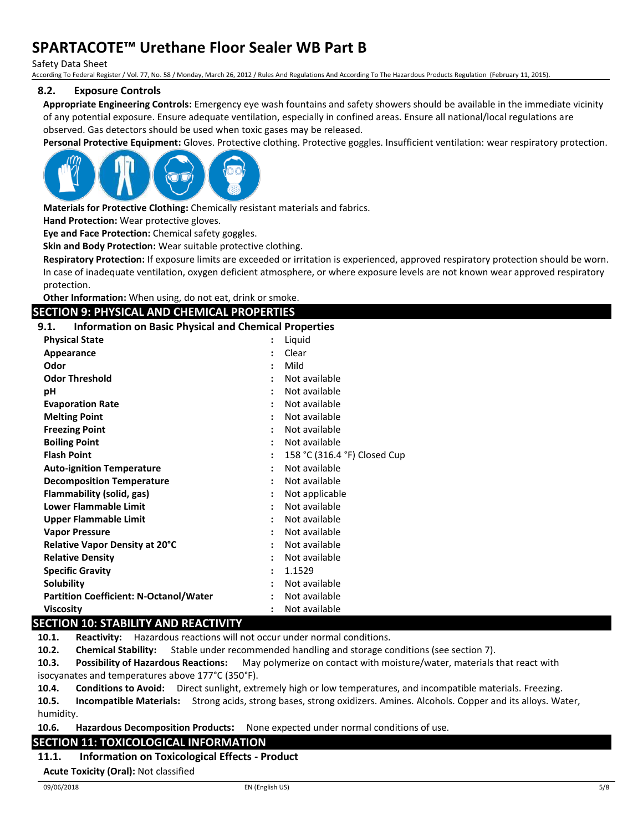Safety Data Sheet

According To Federal Register / Vol. 77, No. 58 / Monday, March 26, 2012 / Rules And Regulations And According To The Hazardous Products Regulation (February 11, 2015).

### **8.2. Exposure Controls**

**Appropriate Engineering Controls:** Emergency eye wash fountains and safety showers should be available in the immediate vicinity of any potential exposure. Ensure adequate ventilation, especially in confined areas. Ensure all national/local regulations are observed. Gas detectors should be used when toxic gases may be released.

**Personal Protective Equipment:** Gloves. Protective clothing. Protective goggles. Insufficient ventilation: wear respiratory protection.



**Materials for Protective Clothing:** Chemically resistant materials and fabrics.

**Hand Protection:** Wear protective gloves.

**Eye and Face Protection:** Chemical safety goggles.

**Skin and Body Protection:** Wear suitable protective clothing.

**Respiratory Protection:** If exposure limits are exceeded or irritation is experienced, approved respiratory protection should be worn. In case of inadequate ventilation, oxygen deficient atmosphere, or where exposure levels are not known wear approved respiratory protection.

**Other Information:** When using, do not eat, drink or smoke.

## **SECTION 9: PHYSICAL AND CHEMICAL PROPERTIES**

**9.1. Information on Basic Physical and Chemical Properties**

| <b>Physical State</b>                         | $\ddot{\phantom{a}}$ | Liquid                       |
|-----------------------------------------------|----------------------|------------------------------|
| Appearance                                    | $\ddot{\phantom{a}}$ | Clear                        |
| Odor                                          | ÷                    | Mild                         |
| <b>Odor Threshold</b>                         |                      | Not available                |
| рH                                            | ÷                    | Not available                |
| <b>Evaporation Rate</b>                       |                      | Not available                |
| <b>Melting Point</b>                          | ÷                    | Not available                |
| <b>Freezing Point</b>                         |                      | Not available                |
| <b>Boiling Point</b>                          |                      | Not available                |
| <b>Flash Point</b>                            | $\ddot{\phantom{a}}$ | 158 °C (316.4 °F) Closed Cup |
| <b>Auto-ignition Temperature</b>              |                      | Not available                |
| <b>Decomposition Temperature</b>              | ÷                    | Not available                |
| Flammability (solid, gas)                     |                      | Not applicable               |
| <b>Lower Flammable Limit</b>                  | $\ddot{\phantom{a}}$ | Not available                |
| Upper Flammable Limit                         | $\ddot{\phantom{0}}$ | Not available                |
| <b>Vapor Pressure</b>                         |                      | Not available                |
| <b>Relative Vapor Density at 20°C</b>         | ÷                    | Not available                |
| <b>Relative Density</b>                       | $\ddot{\phantom{a}}$ | Not available                |
| <b>Specific Gravity</b>                       | ÷                    | 1.1529                       |
| <b>Solubility</b>                             | ٠                    | Not available                |
| <b>Partition Coefficient: N-Octanol/Water</b> |                      | Not available                |
| Viscosity                                     |                      | Not available                |

## **SECTION 10: STABILITY AND REACTIVITY**

**10.1. Reactivity:** Hazardous reactions will not occur under normal conditions.

**10.2. Chemical Stability:** Stable under recommended handling and storage conditions (see section 7).

**10.3. Possibility of Hazardous Reactions:** May polymerize on contact with moisture/water, materials that react with isocyanates and temperatures above 177°C (350°F).

**10.4. Conditions to Avoid:** Direct sunlight, extremely high or low temperatures, and incompatible materials. Freezing.

**10.5. Incompatible Materials:** Strong acids, strong bases, strong oxidizers. Amines. Alcohols. Copper and its alloys. Water, humidity.

**10.6. Hazardous Decomposition Products:** None expected under normal conditions of use.

## **SECTION 11: TOXICOLOGICAL INFORMATION**

### **11.1. Information on Toxicological Effects - Product**

**Acute Toxicity (Oral):** Not classified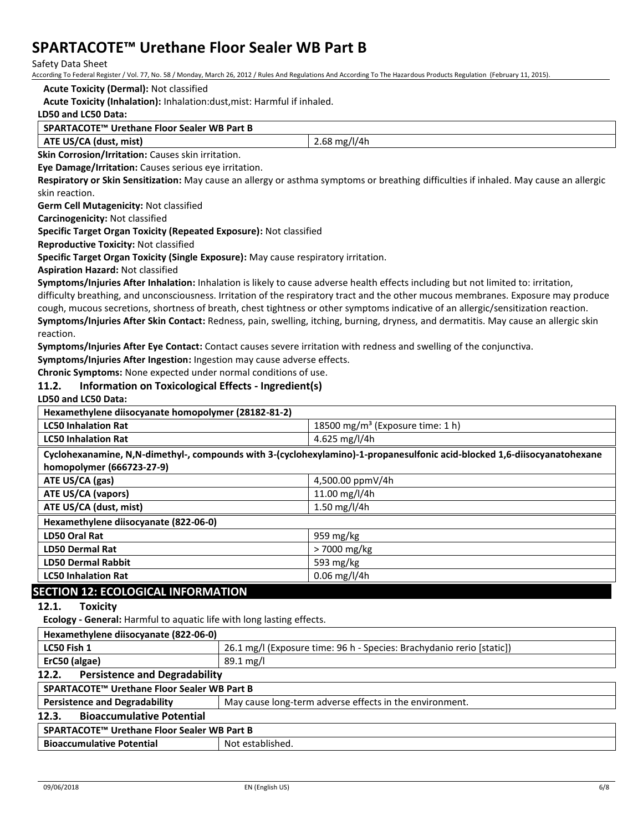Safety Data Sheet

According To Federal Register / Vol. 77, No. 58 / Monday, March 26, 2012 / Rules And Regulations And According To The Hazardous Products Regulation (February 11, 2015).

#### **Acute Toxicity (Dermal):** Not classified

**Acute Toxicity (Inhalation):** Inhalation:dust,mist: Harmful if inhaled.

### **LD50 and LC50 Data:**

#### **SPARTACOTE™ Urethane Floor Sealer WB Part B**

**ATE US/CA (dust, mist)** 2.68 mg/l/4h

**Skin Corrosion/Irritation:** Causes skin irritation. **Eye Damage/Irritation:** Causes serious eye irritation.

**Respiratory or Skin Sensitization:** May cause an allergy or asthma symptoms or breathing difficulties if inhaled. May cause an allergic

skin reaction.

**Germ Cell Mutagenicity:** Not classified

**Carcinogenicity:** Not classified

**Specific Target Organ Toxicity (Repeated Exposure):** Not classified

**Reproductive Toxicity:** Not classified

**Specific Target Organ Toxicity (Single Exposure):** May cause respiratory irritation.

**Aspiration Hazard:** Not classified

**Symptoms/Injuries After Inhalation:** Inhalation is likely to cause adverse health effects including but not limited to: irritation, difficulty breathing, and unconsciousness. Irritation of the respiratory tract and the other mucous membranes. Exposure may produce cough, mucous secretions, shortness of breath, chest tightness or other symptoms indicative of an allergic/sensitization reaction. **Symptoms/Injuries After Skin Contact:** Redness, pain, swelling, itching, burning, dryness, and dermatitis. May cause an allergic skin reaction.

**Symptoms/Injuries After Eye Contact:** Contact causes severe irritation with redness and swelling of the conjunctiva.

**Symptoms/Injuries After Ingestion:** Ingestion may cause adverse effects.

**Chronic Symptoms:** None expected under normal conditions of use.

### **11.2. Information on Toxicological Effects - Ingredient(s)**

**LD50 and LC50 Data:**

| Hexamethylene diisocyanate homopolymer (28182-81-2)                                                                      |                                              |  |
|--------------------------------------------------------------------------------------------------------------------------|----------------------------------------------|--|
| <b>LC50 Inhalation Rat</b>                                                                                               | 18500 mg/m <sup>3</sup> (Exposure time: 1 h) |  |
| <b>LC50 Inhalation Rat</b>                                                                                               | 4.625 mg/l/4h                                |  |
| Cyclohexanamine, N,N-dimethyl-, compounds with 3-(cyclohexylamino)-1-propanesulfonic acid-blocked 1,6-diisocyanatohexane |                                              |  |
| homopolymer (666723-27-9)                                                                                                |                                              |  |
| ATE US/CA (gas)                                                                                                          | 4,500.00 ppmV/4h                             |  |
| <b>ATE US/CA (vapors)</b>                                                                                                | 11.00 mg/l/4h                                |  |
| ATE US/CA (dust, mist)                                                                                                   | 1.50 mg/l/4h                                 |  |
| Hexamethylene diisocyanate (822-06-0)                                                                                    |                                              |  |
| LD50 Oral Rat                                                                                                            | 959 mg/kg                                    |  |
| <b>LD50 Dermal Rat</b>                                                                                                   | > 7000 mg/kg                                 |  |
| <b>LD50 Dermal Rabbit</b>                                                                                                | 593 mg/kg                                    |  |
| <b>LC50 Inhalation Rat</b>                                                                                               | $0.06$ mg/l/4h                               |  |
| <b>SECTION 12: ECOLOGICAL INFORMATION</b>                                                                                |                                              |  |
| 12.1.<br><b>Toxicity</b>                                                                                                 |                                              |  |
| <b>Ecology - General:</b> Harmful to aquatic life with long lasting effects.                                             |                                              |  |
| Hexamethylene diisocyanate (822-06-0)                                                                                    |                                              |  |

| LC50 Fish 1                                                                                     | 26.1 mg/l (Exposure time: 96 h - Species: Brachydanio rerio [static]) |  |
|-------------------------------------------------------------------------------------------------|-----------------------------------------------------------------------|--|
| ErC50 (algae)                                                                                   | $89.1 \,\mathrm{mg/l}$                                                |  |
| <b>Persistence and Degradability</b><br>12.2.                                                   |                                                                       |  |
| SPARTACOTE™ Urethane Floor Sealer WB Part B                                                     |                                                                       |  |
| May cause long-term adverse effects in the environment.<br><b>Persistence and Degradability</b> |                                                                       |  |
| <b>Bioaccumulative Potential</b><br>12.3.                                                       |                                                                       |  |
| SPARTACOTE™ Urethane Floor Sealer WB Part B                                                     |                                                                       |  |
| <b>Bioaccumulative Potential</b>                                                                | Not established.                                                      |  |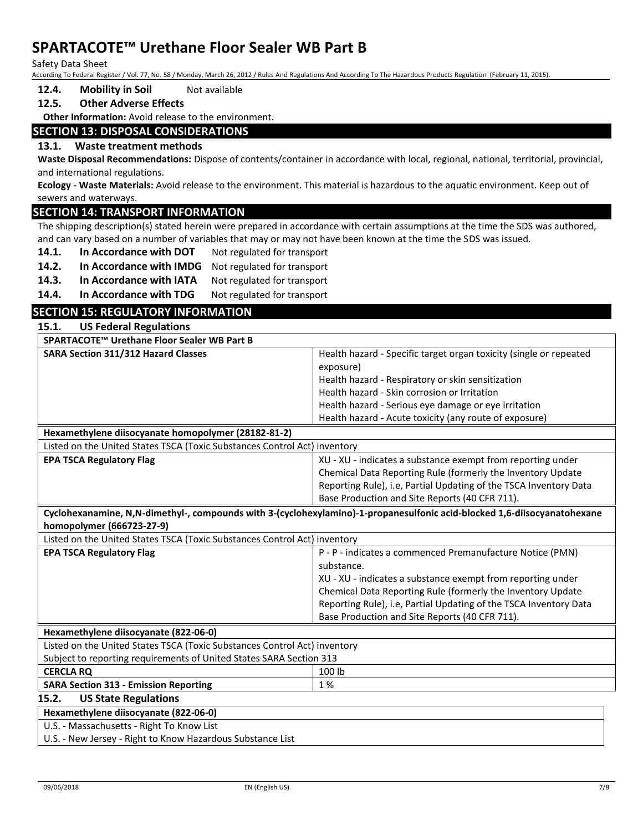Safety Data Sheet

According To Federal Register / Vol. 77, No. 58 / Monday, March 26, 2012 / Rules And Regulations And According To The Hazardous Products Regulation (February 11, 2015).

### **12.4. Mobility in Soil** Not available

## **12.5. Other Adverse Effects**

**Other Information:** Avoid release to the environment.

## **SECTION 13: DISPOSAL CONSIDERATIONS**

### **13.1. Waste treatment methods**

**Waste Disposal Recommendations:** Dispose of contents/container in accordance with local, regional, national, territorial, provincial, and international regulations.

**Ecology - Waste Materials:** Avoid release to the environment. This material is hazardous to the aquatic environment. Keep out of sewers and waterways.

## **SECTION 14: TRANSPORT INFORMATION**

The shipping description(s) stated herein were prepared in accordance with certain assumptions at the time the SDS was authored, and can vary based on a number of variables that may or may not have been known at the time the SDS was issued.

- 14.1. **In Accordance with DOT** Not regulated for transport
- 14.2. In Accordance with IMDG Not regulated for transport
- 14.3. In Accordance with IATA Not regulated for transport
- 14.4. In Accordance with TDG Not regulated for transport

| <b>ISECTION 15: REGULATORY INFORMATION</b> |                               |  |
|--------------------------------------------|-------------------------------|--|
| 15.1.                                      | <b>US Federal Regulations</b> |  |

| SPARTACOTE™ Urethane Floor Sealer WB Part B                               |                                                                                                                          |
|---------------------------------------------------------------------------|--------------------------------------------------------------------------------------------------------------------------|
| <b>SARA Section 311/312 Hazard Classes</b>                                | Health hazard - Specific target organ toxicity (single or repeated                                                       |
|                                                                           | exposure)                                                                                                                |
|                                                                           | Health hazard - Respiratory or skin sensitization                                                                        |
|                                                                           | Health hazard - Skin corrosion or Irritation                                                                             |
|                                                                           | Health hazard - Serious eye damage or eye irritation                                                                     |
|                                                                           | Health hazard - Acute toxicity (any route of exposure)                                                                   |
| Hexamethylene diisocyanate homopolymer (28182-81-2)                       |                                                                                                                          |
| Listed on the United States TSCA (Toxic Substances Control Act) inventory |                                                                                                                          |
| <b>EPA TSCA Regulatory Flag</b>                                           | XU - XU - indicates a substance exempt from reporting under                                                              |
|                                                                           | Chemical Data Reporting Rule (formerly the Inventory Update                                                              |
|                                                                           | Reporting Rule), i.e, Partial Updating of the TSCA Inventory Data                                                        |
|                                                                           | Base Production and Site Reports (40 CFR 711).                                                                           |
|                                                                           | Cyclohexanamine, N,N-dimethyl-, compounds with 3-(cyclohexylamino)-1-propanesulfonic acid-blocked 1,6-diisocyanatohexane |
| homopolymer (666723-27-9)                                                 |                                                                                                                          |
| Listed on the United States TSCA (Toxic Substances Control Act) inventory |                                                                                                                          |
| <b>EPA TSCA Regulatory Flag</b>                                           | P - P - indicates a commenced Premanufacture Notice (PMN)                                                                |
|                                                                           | substance.                                                                                                               |
|                                                                           | XU - XU - indicates a substance exempt from reporting under                                                              |
|                                                                           | Chemical Data Reporting Rule (formerly the Inventory Update                                                              |
|                                                                           | Reporting Rule), i.e, Partial Updating of the TSCA Inventory Data                                                        |
|                                                                           | Base Production and Site Reports (40 CFR 711).                                                                           |
| Hexamethylene diisocyanate (822-06-0)                                     |                                                                                                                          |
| Listed on the United States TSCA (Toxic Substances Control Act) inventory |                                                                                                                          |
| Subject to reporting requirements of United States SARA Section 313       |                                                                                                                          |
| <b>CERCLA RQ</b>                                                          | 100 lb                                                                                                                   |
| <b>SARA Section 313 - Emission Reporting</b>                              | 1%                                                                                                                       |
| 15.2.<br><b>US State Regulations</b>                                      |                                                                                                                          |
| Hexamethylene diisocyanate (822-06-0)                                     |                                                                                                                          |
| U.S. - Massachusetts - Right To Know List                                 |                                                                                                                          |
| U.S. - New Jersey - Right to Know Hazardous Substance List                |                                                                                                                          |